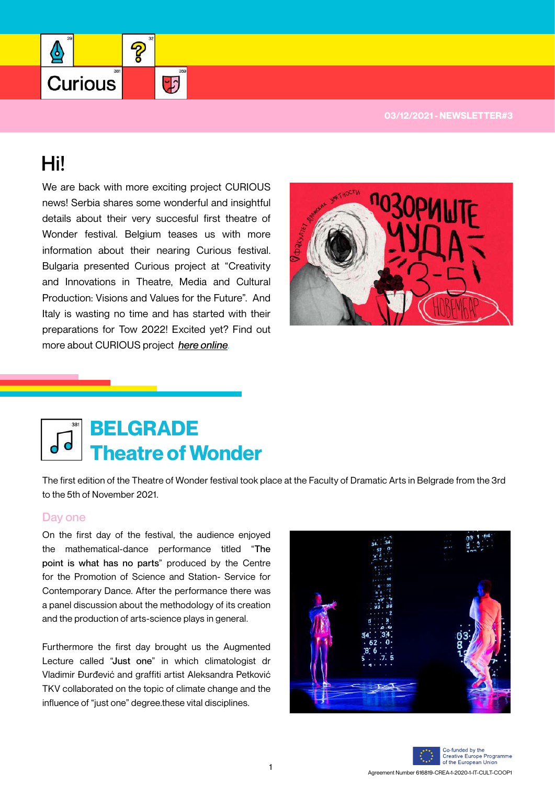

# Hi!

❹

**Curious** 

We are back with more exciting project CURIOUS news! Serbia shares some wonderful and insightful details about their very succesful first theatre of Wonder festival. Belgium teases us with more information about their nearing Curious festival. Bulgaria presented Curious project at "Creativity and Innovations in Theatre, Media and Cultural Production: Visions and Values for the Future". And Italy is wasting no time and has started with their preparations for Tow 2022! Excited yet? Find out more about CURIOUS project *here online*.

2

 $\overline{D}$ 



# **Theatre of Wonder BELGRADE**

The first edition of the Theatre of Wonder festival took place at the Faculty of Dramatic Arts in Belgrade from the 3rd to the 5th of November 2021.

#### Day one

On the first day of the festival, the audience enjoyed the mathematical-dance performance titled "The point is what has no parts" produced by the Centre for the Promotion of Science and Station- Service for Contemporary Dance. After the performance there was a panel discussion about the methodology of its creation and the production of arts-science plays in general.

Furthermore the first day brought us the Augmented Lecture called "Just one" in which climatologist dr Vladimir Đurđević and graffiti artist Aleksandra Petković TKV collaborated on the topic of climate change and the influence of "just one" degree.these vital disciplines.



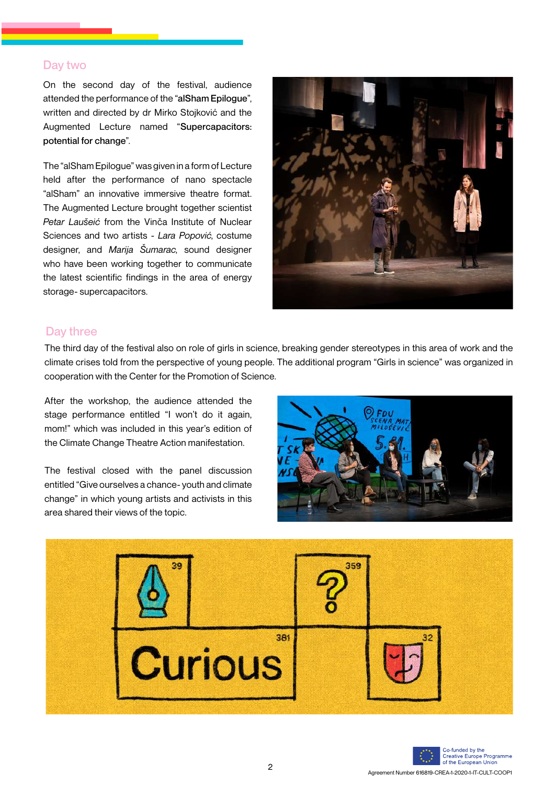### Day two

On the second day of the festival, audience attended the performance of the "alSham Epilogue", written and directed by dr Mirko Stojković and the Augmented Lecture named "Supercapacitors: potential for change".

The "alSham Epilogue" was given in a form of Lecture held after the performance of nano spectacle "alSham" an innovative immersive theatre format. The Augmented Lecture brought together scientist *Petar Laušeić* from the Vinča Institute of Nuclear Sciences and two artists - *Lara Popović*, costume designer, and *Marija Šumarac*, sound designer who have been working together to communicate the latest scientific findings in the area of energy storage- supercapacitors.



## Day three

The third day of the festival also on role of girls in science, breaking gender stereotypes in this area of work and the climate crises told from the perspective of young people. The additional program "Girls in science" was organized in cooperation with the Center for the Promotion of Science.

After the workshop, the audience attended the stage performance entitled "I won't do it again, mom!" which was included in this year's edition of the Climate Change Theatre Action manifestation.

The festival closed with the panel discussion entitled "Give ourselves a chance- youth and climate change" in which young artists and activists in this area shared their views of the topic.



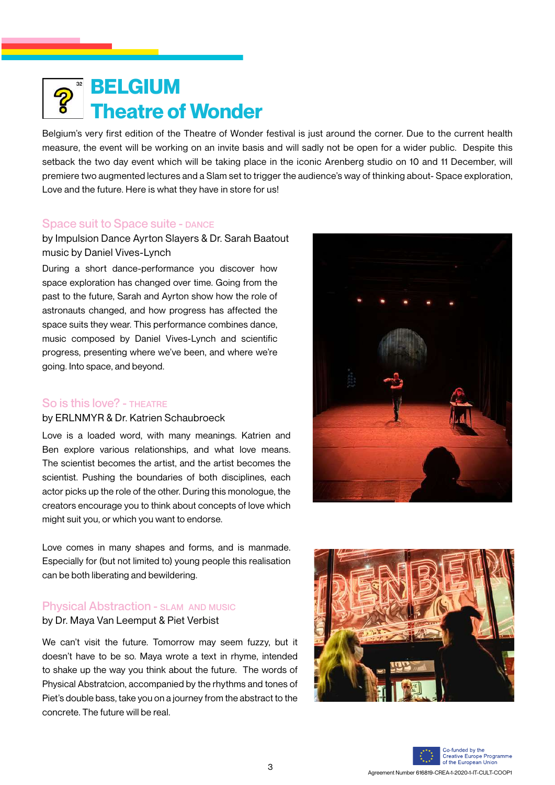# **Theatre of Wonder BELGIUM**

Belgium's very first edition of the Theatre of Wonder festival is just around the corner. Due to the current health measure, the event will be working on an invite basis and will sadly not be open for a wider public. Despite this setback the two day event which will be taking place in the iconic Arenberg studio on 10 and 11 December, will premiere two augmented lectures and a Slam set to trigger the audience's way of thinking about- Space exploration, Love and the future. Here is what they have in store for us!

#### Space suit to Space suite - DANCE

by Impulsion Dance Ayrton Slayers & Dr. Sarah Baatout music by Daniel Vives-Lynch

During a short dance-performance you discover how space exploration has changed over time. Going from the past to the future, Sarah and Ayrton show how the role of astronauts changed, and how progress has affected the space suits they wear. This performance combines dance, music composed by Daniel Vives-Lynch and scientific progress, presenting where we've been, and where we're going. Into space, and beyond.

### So is this love? - THEATRE

#### by ERLNMYR & Dr. Katrien Schaubroeck

Love is a loaded word, with many meanings. Katrien and Ben explore various relationships, and what love means. The scientist becomes the artist, and the artist becomes the scientist. Pushing the boundaries of both disciplines, each actor picks up the role of the other. During this monologue, the creators encourage you to think about concepts of love which might suit you, or which you want to endorse.



Love comes in many shapes and forms, and is manmade. Especially for (but not limited to) young people this realisation can be both liberating and bewildering.

# **Physical Abstraction - SLAM AND MUSIC**

by Dr. Maya Van Leemput & Piet Verbist

We can't visit the future. Tomorrow may seem fuzzy, but it doesn't have to be so. Maya wrote a text in rhyme, intended to shake up the way you think about the future. The words of Physical Abstratcion, accompanied by the rhythms and tones of Piet's double bass, take you on a journey from the abstract to the concrete. The future will be real.



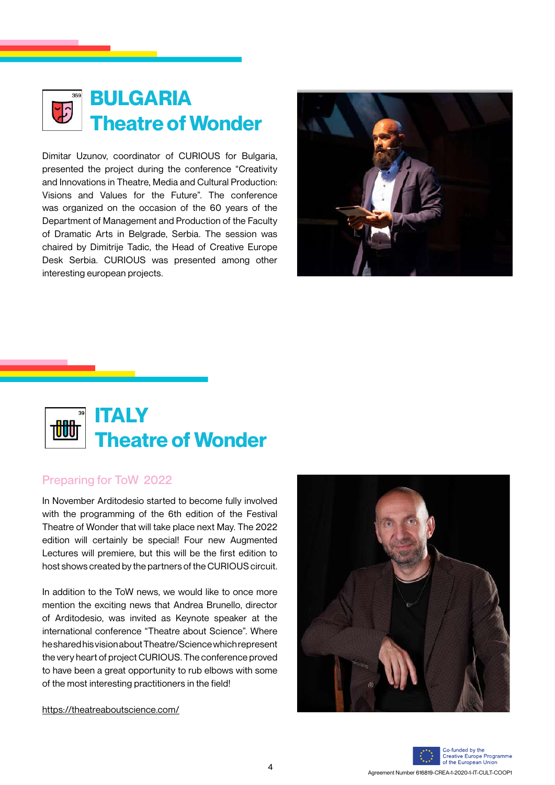

Dimitar Uzunov, coordinator of CURIOUS for Bulgaria, presented the project during the conference "Creativity and Innovations in Theatre, Media and Cultural Production: Visions and Values for the Future". The conference was organized on the occasion of the 60 years of the Department of Management and Production of the Faculty of Dramatic Arts in Belgrade, Serbia. The session was chaired by Dimitrije Tadic, the Head of Creative Europe Desk Serbia. CURIOUS was presented among other interesting european projects.





### Preparing for ToW 2022

In November Arditodesìo started to become fully involved with the programming of the 6th edition of the Festival Theatre of Wonder that will take place next May. The 2022 edition will certainly be special! Four new Augmented Lectures will premiere, but this will be the first edition to host shows created by the partners of the CURIOUS circuit.

In addition to the ToW news, we would like to once more mention the exciting news that Andrea Brunello, director of Arditodesio, was invited as Keynote speaker at the international conference "Theatre about Science". Where he shared his vision about Theatre/Science which represent the very heart of project CURIOUS. The conference proved to have been a great opportunity to rub elbows with some of the most interesting practitioners in the field!

https://theatreaboutscience.com/